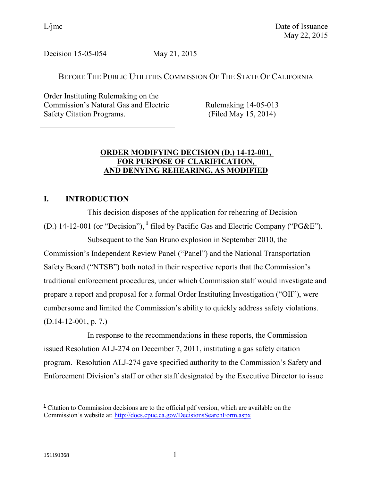Decision 15-05-054 May 21, 2015

# BEFORE THE PUBLIC UTILITIES COMMISSION OF THE STATE OF CALIFORNIA

Order Instituting Rulemaking on the Commission's Natural Gas and Electric Safety Citation Programs.

Rulemaking 14-05-013 (Filed May 15, 2014)

# **ORDER MODIFYING DECISION (D.) 14-12-001, FOR PURPOSE OF CLARIFICATION, AND DENYING REHEARING, AS MODIFIED**

# **I. INTRODUCTION**

This decision disposes of the application for rehearing of Decision (D.) 14-12-001 (or "Decision"), $\frac{1}{2}$  filed by Pacific Gas and Electric Company ("PG&E").

Subsequent to the San Bruno explosion in September 2010, the Commission's Independent Review Panel ("Panel") and the National Transportation Safety Board ("NTSB") both noted in their respective reports that the Commission's traditional enforcement procedures, under which Commission staff would investigate and prepare a report and proposal for a formal Order Instituting Investigation ("OII"), were cumbersome and limited the Commission's ability to quickly address safety violations. (D.14-12-001, p. 7.)

In response to the recommendations in these reports, the Commission issued Resolution ALJ-274 on December 7, 2011, instituting a gas safety citation program. Resolution ALJ-274 gave specified authority to the Commission's Safety and Enforcement Division's staff or other staff designated by the Executive Director to issue

 $\overline{a}$ 

**<sup>1</sup>** Citation to Commission decisions are to the official pdf version, which are available on the Commission's website at: <http://docs.cpuc.ca.gov/DecisionsSearchForm.aspx>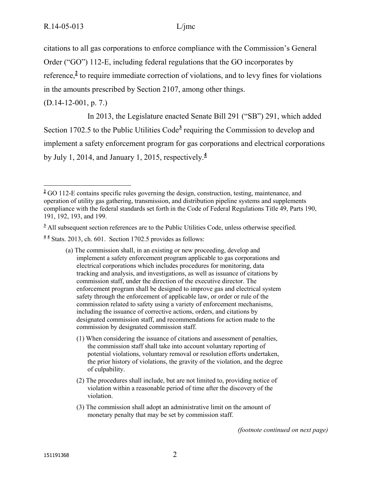citations to all gas corporations to enforce compliance with the Commission's General Order ("GO") 112-E, including federal regulations that the GO incorporates by reference,<sup>2</sup> to require immediate correction of violations, and to levy fines for violations

in the amounts prescribed by Section 2107, among other things.

(D.14-12-001, p. 7.)

 $\overline{a}$ 

In 2013, the Legislature enacted Senate Bill 291 ("SB") 291, which added Section 1702.5 to the Public Utilities Code<sup>3</sup> requiring the Commission to develop and implement a safety enforcement program for gas corporations and electrical corporations by July 1, 2014, and January 1, 2015, respectively.**<sup>4</sup>**

<sup>3</sup> All subsequent section references are to the Public Utilities Code, unless otherwise specified.

**4 4** Stats. 2013, ch. 601. Section 1702.5 provides as follows:

- (a) The commission shall, in an existing or new proceeding, develop and implement a safety enforcement program applicable to gas corporations and electrical corporations which includes procedures for monitoring, data tracking and analysis, and investigations, as well as issuance of citations by commission staff, under the direction of the executive director. The enforcement program shall be designed to improve gas and electrical system safety through the enforcement of applicable law, or order or rule of the commission related to safety using a variety of enforcement mechanisms, including the issuance of corrective actions, orders, and citations by designated commission staff, and recommendations for action made to the commission by designated commission staff.
	- (1) When considering the issuance of citations and assessment of penalties, the commission staff shall take into account voluntary reporting of potential violations, voluntary removal or resolution efforts undertaken, the prior history of violations, the gravity of the violation, and the degree of culpability.
	- (2) The procedures shall include, but are not limited to, providing notice of violation within a reasonable period of time after the discovery of the violation.
	- (3) The commission shall adopt an administrative limit on the amount of monetary penalty that may be set by commission staff.

*(footnote continued on next page)*

**<sup>2</sup>** GO 112-E contains specific rules governing the design, construction, testing, maintenance, and operation of utility gas gathering, transmission, and distribution pipeline systems and supplements compliance with the federal standards set forth in the Code of Federal Regulations Title 49, Parts 190, 191, 192, 193, and 199.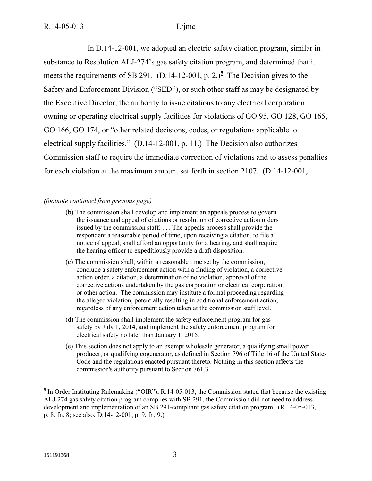$\overline{a}$ 

In D.14-12-001, we adopted an electric safety citation program, similar in substance to Resolution ALJ-274's gas safety citation program, and determined that it meets the requirements of SB 291. (D.14-12-001, p. 2.)<sup>5</sup> The Decision gives to the Safety and Enforcement Division ("SED"), or such other staff as may be designated by the Executive Director, the authority to issue citations to any electrical corporation owning or operating electrical supply facilities for violations of GO 95, GO 128, GO 165, GO 166, GO 174, or "other related decisions, codes, or regulations applicable to electrical supply facilities." (D.14-12-001, p. 11.) The Decision also authorizes Commission staff to require the immediate correction of violations and to assess penalties for each violation at the maximum amount set forth in section 2107. (D.14-12-001,

### *(footnote continued from previous page)*

- (b) The commission shall develop and implement an appeals process to govern the issuance and appeal of citations or resolution of corrective action orders issued by the commission staff. . . . The appeals process shall provide the respondent a reasonable period of time, upon receiving a citation, to file a notice of appeal, shall afford an opportunity for a hearing, and shall require the hearing officer to expeditiously provide a draft disposition.
- (c) The commission shall, within a reasonable time set by the commission, conclude a safety enforcement action with a finding of violation, a corrective action order, a citation, a determination of no violation, approval of the corrective actions undertaken by the gas corporation or electrical corporation, or other action. The commission may institute a formal proceeding regarding the alleged violation, potentially resulting in additional enforcement action, regardless of any enforcement action taken at the commission staff level.
- (d) The commission shall implement the safety enforcement program for gas safety by July 1, 2014, and implement the safety enforcement program for electrical safety no later than January 1, 2015.
- (e) This section does not apply to an exempt wholesale generator, a qualifying small power producer, or qualifying cogenerator, as defined in Section 796 of Title 16 of the United States Code and the regulations enacted pursuant thereto. Nothing in this section affects the commission's authority pursuant to Section 761.3.

 $\frac{5}{2}$  In Order Instituting Rulemaking ("OIR"), R.14-05-013, the Commission stated that because the existing ALJ-274 gas safety citation program complies with SB 291, the Commission did not need to address development and implementation of an SB 291-compliant gas safety citation program. (R.14-05-013, p. 8, fn. 8; see also, D.14-12-001, p. 9, fn. 9.)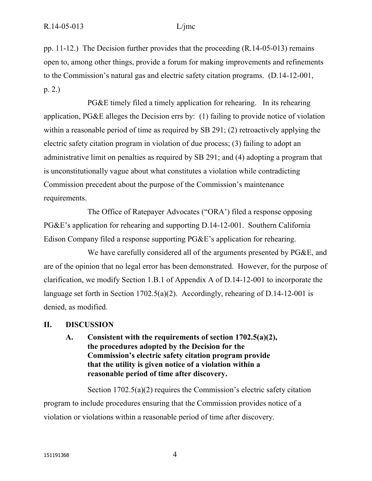pp. 11-12.) The Decision further provides that the proceeding (R.14-05-013) remains open to, among other things, provide a forum for making improvements and refinements to the Commission's natural gas and electric safety citation programs. (D.14-12-001, p. 2.)

PG&E timely filed a timely application for rehearing. In its rehearing application, PG&E alleges the Decision errs by: (1) failing to provide notice of violation within a reasonable period of time as required by SB 291; (2) retroactively applying the electric safety citation program in violation of due process; (3) failing to adopt an administrative limit on penalties as required by SB 291; and (4) adopting a program that is unconstitutionally vague about what constitutes a violation while contradicting Commission precedent about the purpose of the Commission's maintenance requirements.

The Office of Ratepayer Advocates ("ORA') filed a response opposing PG&E's application for rehearing and supporting D.14-12-001. Southern California Edison Company filed a response supporting PG&E's application for rehearing.

We have carefully considered all of the arguments presented by PG&E, and are of the opinion that no legal error has been demonstrated. However, for the purpose of clarification, we modify Section 1.B.1 of Appendix A of D.14-12-001 to incorporate the language set forth in Section 1702.5(a)(2). Accordingly, rehearing of D.14-12-001 is denied, as modified.

### **II. DISCUSSION**

**A. Consistent with the requirements of section 1702.5(a)(2), the procedures adopted by the Decision for the Commission's electric safety citation program provide that the utility is given notice of a violation within a reasonable period of time after discovery.**

Section 1702.5(a)(2) requires the Commission's electric safety citation program to include procedures ensuring that the Commission provides notice of a violation or violations within a reasonable period of time after discovery.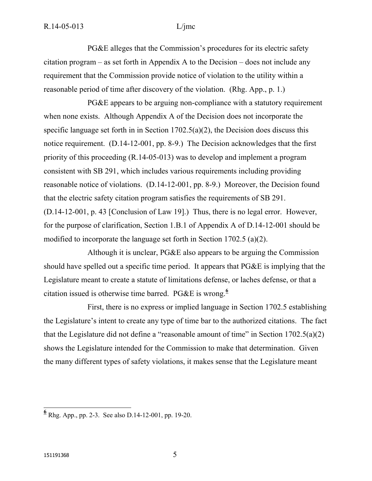PG&E alleges that the Commission's procedures for its electric safety citation program – as set forth in Appendix A to the Decision – does not include any requirement that the Commission provide notice of violation to the utility within a reasonable period of time after discovery of the violation. (Rhg. App., p. 1.)

PG&E appears to be arguing non-compliance with a statutory requirement when none exists. Although Appendix A of the Decision does not incorporate the specific language set forth in in Section 1702.5(a)(2), the Decision does discuss this notice requirement. (D.14-12-001, pp. 8-9.) The Decision acknowledges that the first priority of this proceeding (R.14-05-013) was to develop and implement a program consistent with SB 291, which includes various requirements including providing reasonable notice of violations. (D.14-12-001, pp. 8-9.) Moreover, the Decision found that the electric safety citation program satisfies the requirements of SB 291. (D.14-12-001, p. 43 [Conclusion of Law 19].) Thus, there is no legal error. However, for the purpose of clarification, Section 1.B.1 of Appendix A of D.14-12-001 should be modified to incorporate the language set forth in Section 1702.5 (a)(2).

Although it is unclear, PG&E also appears to be arguing the Commission should have spelled out a specific time period. It appears that PG&E is implying that the Legislature meant to create a statute of limitations defense, or laches defense, or that a citation issued is otherwise time barred. PG&E is wrong. **6**

First, there is no express or implied language in Section 1702.5 establishing the Legislature's intent to create any type of time bar to the authorized citations. The fact that the Legislature did not define a "reasonable amount of time" in Section  $1702.5(a)(2)$ shows the Legislature intended for the Commission to make that determination. Given the many different types of safety violations, it makes sense that the Legislature meant

 **6** Rhg. App., pp. 2-3. See also D.14-12-001, pp. 19-20.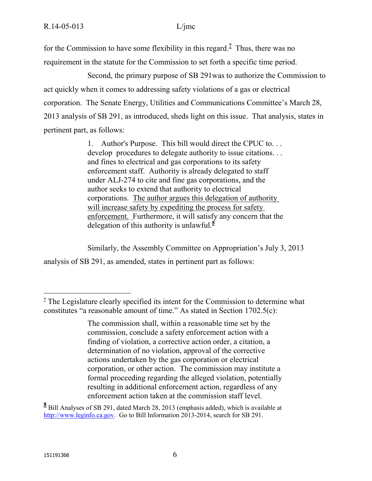for the Commission to have some flexibility in this regard.**<sup>7</sup>** Thus, there was no requirement in the statute for the Commission to set forth a specific time period.

Second, the primary purpose of SB 291was to authorize the Commission to act quickly when it comes to addressing safety violations of a gas or electrical corporation. The Senate Energy, Utilities and Communications Committee's March 28, 2013 analysis of SB 291, as introduced, sheds light on this issue. That analysis, states in pertinent part, as follows:

> 1. Author's Purpose. This bill would direct the CPUC to. . . develop procedures to delegate authority to issue citations. . . and fines to electrical and gas corporations to its safety enforcement staff. Authority is already delegated to staff under ALJ-274 to cite and fine gas corporations, and the author seeks to extend that authority to electrical corporations. The author argues this delegation of authority will increase safety by expediting the process for safety enforcement. Furthermore, it will satisfy any concern that the delegation of this authority is unlawful.**<sup>8</sup>**

Similarly, the Assembly Committee on Appropriation's July 3, 2013 analysis of SB 291, as amended, states in pertinent part as follows:

**8** Bill Analyses of SB 291, dated March 28, 2013 (emphasis added), which is available at [http://www.leginfo.ca.gov.](http://www.leginfo.ca.gov/) Go to Bill Information 2013-2014, search for SB 291.

**<sup>7</sup>** The Legislature clearly specified its intent for the Commission to determine what constitutes "a reasonable amount of time." As stated in Section 1702.5(c):

The commission shall, within a reasonable time set by the commission, conclude a safety enforcement action with a finding of violation, a corrective action order, a citation, a determination of no violation, approval of the corrective actions undertaken by the gas corporation or electrical corporation, or other action. The commission may institute a formal proceeding regarding the alleged violation, potentially resulting in additional enforcement action, regardless of any enforcement action taken at the commission staff level.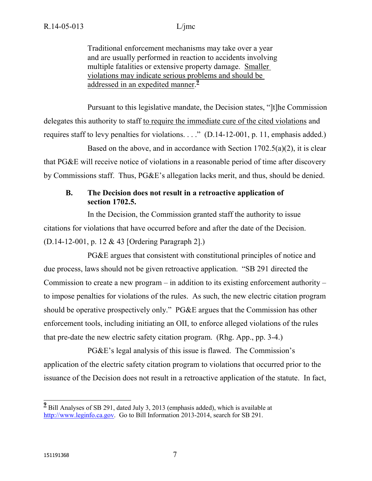Traditional enforcement mechanisms may take over a year and are usually performed in reaction to accidents involving multiple fatalities or extensive property damage. Smaller violations may indicate serious problems and should be addressed in an expedited manner. **9**

Pursuant to this legislative mandate, the Decision states, "]t]he Commission delegates this authority to staff to require the immediate cure of the cited violations and requires staff to levy penalties for violations. . . ." (D.14-12-001, p. 11, emphasis added.)

Based on the above, and in accordance with Section  $1702.5(a)(2)$ , it is clear that PG&E will receive notice of violations in a reasonable period of time after discovery by Commissions staff. Thus, PG&E's allegation lacks merit, and thus, should be denied.

# **B. The Decision does not result in a retroactive application of section 1702.5.**

In the Decision, the Commission granted staff the authority to issue citations for violations that have occurred before and after the date of the Decision. (D.14-12-001, p. 12 & 43 [Ordering Paragraph 2].)

PG&E argues that consistent with constitutional principles of notice and due process, laws should not be given retroactive application. "SB 291 directed the Commission to create a new program – in addition to its existing enforcement authority – to impose penalties for violations of the rules. As such, the new electric citation program should be operative prospectively only." PG&E argues that the Commission has other enforcement tools, including initiating an OII, to enforce alleged violations of the rules that pre-date the new electric safety citation program. (Rhg. App., pp. 3-4.)

PG&E's legal analysis of this issue is flawed. The Commission's application of the electric safety citation program to violations that occurred prior to the issuance of the Decision does not result in a retroactive application of the statute. In fact,

**<sup>9</sup>**<br> **2** Bill Analyses of SB 291, dated July 3, 2013 (emphasis added), which is available at [http://www.leginfo.ca.gov.](http://www.leginfo.ca.gov/) Go to Bill Information 2013-2014, search for SB 291.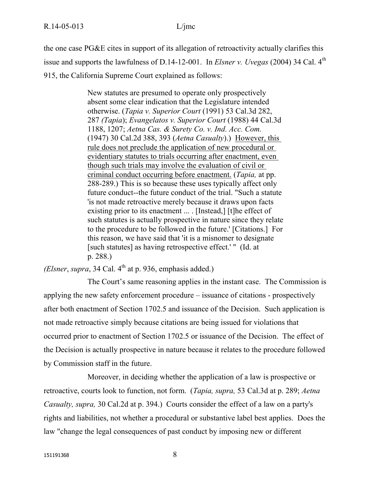the one case PG&E cites in support of its allegation of retroactivity actually clarifies this issue and supports the lawfulness of D.14-12-001. In *Elsner v. Uvegas* (2004) 34 Cal. 4<sup>th</sup> 915, the California Supreme Court explained as follows:

> New statutes are presumed to operate only prospectively absent some clear indication that the Legislature intended otherwise. (*Tapia v. Superior Court* (1991) 53 Cal.3d 282, 287 *(Tapia*); *Evangelatos v. Superior Court* (1988) 44 Cal.3d 1188, 1207; *Aetna Cas. & Surety Co. v. Ind. Acc. Com.*  (1947) 30 Cal.2d 388, 393 (*Aetna Casualty*).) However, this rule does not preclude the application of new procedural or evidentiary statutes to trials occurring after enactment, even though such trials may involve the evaluation of civil or criminal conduct occurring before enactment. (*Tapia,* at pp. 288-289.) This is so because these uses typically affect only future conduct--the future conduct of the trial. "Such a statute 'is not made retroactive merely because it draws upon facts existing prior to its enactment ... . [Instead,] [t]he effect of such statutes is actually prospective in nature since they relate to the procedure to be followed in the future.' [Citations.] For this reason, we have said that 'it is a misnomer to designate [such statutes] as having retrospective effect.' " (Id. at p. 288.)

*(Elsner, supra,* 34 Cal.  $4<sup>th</sup>$  at p. 936, emphasis added.)

The Court's same reasoning applies in the instant case. The Commission is applying the new safety enforcement procedure – issuance of citations - prospectively after both enactment of Section 1702.5 and issuance of the Decision. Such application is not made retroactive simply because citations are being issued for violations that occurred prior to enactment of Section 1702.5 or issuance of the Decision. The effect of the Decision is actually prospective in nature because it relates to the procedure followed by Commission staff in the future.

Moreover, in deciding whether the application of a law is prospective or retroactive, courts look to function, not form. (*Tapia, supra,* 53 Cal.3d at p. 289; *Aetna Casualty, supra,* 30 Cal.2d at p. 394.) Courts consider the effect of a law on a party's rights and liabilities, not whether a procedural or substantive label best applies. Does the law "change the legal consequences of past conduct by imposing new or different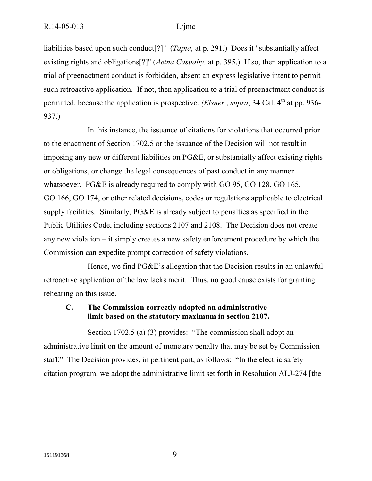liabilities based upon such conduct[?]" (*Tapia,* at p. 291.) Does it "substantially affect existing rights and obligations[?]" (*Aetna Casualty,* at p. 395.) If so, then application to a trial of preenactment conduct is forbidden, absent an express legislative intent to permit such retroactive application. If not, then application to a trial of preenactment conduct is permitted, because the application is prospective. *(Elsner*, *supra*, 34 Cal. 4<sup>th</sup> at pp. 936-937.)

In this instance, the issuance of citations for violations that occurred prior to the enactment of Section 1702.5 or the issuance of the Decision will not result in imposing any new or different liabilities on PG&E, or substantially affect existing rights or obligations, or change the legal consequences of past conduct in any manner whatsoever. PG&E is already required to comply with GO 95, GO 128, GO 165, GO 166, GO 174, or other related decisions, codes or regulations applicable to electrical supply facilities. Similarly, PG&E is already subject to penalties as specified in the Public Utilities Code, including sections 2107 and 2108. The Decision does not create any new violation – it simply creates a new safety enforcement procedure by which the Commission can expedite prompt correction of safety violations.

Hence, we find PG&E's allegation that the Decision results in an unlawful retroactive application of the law lacks merit. Thus, no good cause exists for granting rehearing on this issue.

### **C. The Commission correctly adopted an administrative limit based on the statutory maximum in section 2107.**

Section 1702.5 (a) (3) provides: "The commission shall adopt an administrative limit on the amount of monetary penalty that may be set by Commission staff." The Decision provides, in pertinent part, as follows: "In the electric safety citation program, we adopt the administrative limit set forth in Resolution ALJ-274 [the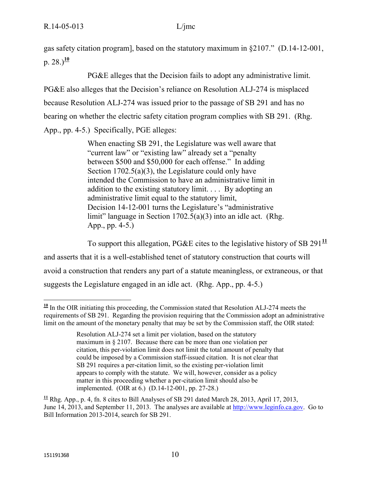gas safety citation program], based on the statutory maximum in §2107." (D.14-12-001, p.  $28.1^{10}$ 

PG&E alleges that the Decision fails to adopt any administrative limit. PG&E also alleges that the Decision's reliance on Resolution ALJ-274 is misplaced because Resolution ALJ-274 was issued prior to the passage of SB 291 and has no bearing on whether the electric safety citation program complies with SB 291. (Rhg. App., pp. 4-5.) Specifically, PGE alleges:

> When enacting SB 291, the Legislature was well aware that "current law" or "existing law" already set a "penalty between \$500 and \$50,000 for each offense." In adding Section 1702.5(a)(3), the Legislature could only have intended the Commission to have an administrative limit in addition to the existing statutory limit. . . . By adopting an administrative limit equal to the statutory limit, Decision 14-12-001 turns the Legislature's "administrative limit" language in Section 1702.5(a)(3) into an idle act. (Rhg. App., pp. 4-5.)

To support this allegation, PG&E cites to the legislative history of SB 291**<sup>11</sup>** and asserts that it is a well-established tenet of statutory construction that courts will avoid a construction that renders any part of a statute meaningless, or extraneous, or that suggests the Legislature engaged in an idle act. (Rhg. App., pp. 4-5.)

  $\frac{10}{2}$  In the OIR initiating this proceeding, the Commission stated that Resolution ALJ-274 meets the requirements of SB 291. Regarding the provision requiring that the Commission adopt an administrative limit on the amount of the monetary penalty that may be set by the Commission staff, the OIR stated:

Resolution ALJ-274 set a limit per violation, based on the statutory maximum in § 2107. Because there can be more than one violation per citation, this per-violation limit does not limit the total amount of penalty that could be imposed by a Commission staff-issued citation. It is not clear that SB 291 requires a per-citation limit, so the existing per-violation limit appears to comply with the statute. We will, however, consider as a policy matter in this proceeding whether a per-citation limit should also be implemented. (OIR at 6.) (D.14-12-001, pp. 27-28.)

**<sup>11</sup>** Rhg. App., p. 4, fn. 8 cites to Bill Analyses of SB 291 dated March 28, 2013, April 17, 2013, June 14, 2013, and September 11, 2013. The analyses are available at [http://www.leginfo.ca.gov.](http://www.leginfo.ca.gov/) Go to Bill Information 2013-2014, search for SB 291.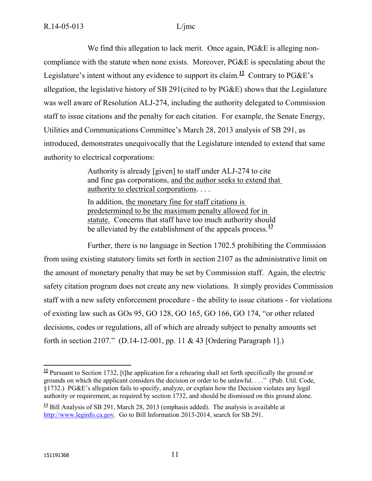We find this allegation to lack merit. Once again, PG&E is alleging noncompliance with the statute when none exists. Moreover, PG&E is speculating about the Legislature's intent without any evidence to support its claim.<sup>12</sup> Contrary to  $P G \& E$ 's allegation, the legislative history of SB 291(cited to by PG&E) shows that the Legislature was well aware of Resolution ALJ-274, including the authority delegated to Commission staff to issue citations and the penalty for each citation. For example, the Senate Energy, Utilities and Communications Committee's March 28, 2013 analysis of SB 291, as introduced, demonstrates unequivocally that the Legislature intended to extend that same authority to electrical corporations:

> Authority is already [given] to staff under ALJ-274 to cite and fine gas corporations, and the author seeks to extend that authority to electrical corporations. . . .

In addition, the monetary fine for staff citations is predetermined to be the maximum penalty allowed for in statute. Concerns that staff have too much authority should be alleviated by the establishment of the appeals process.**<sup>13</sup>**

Further, there is no language in Section 1702.5 prohibiting the Commission from using existing statutory limits set forth in section 2107 as the administrative limit on the amount of monetary penalty that may be set by Commission staff. Again, the electric safety citation program does not create any new violations. It simply provides Commission staff with a new safety enforcement procedure - the ability to issue citations - for violations of existing law such as GOs 95, GO 128, GO 165, GO 166, GO 174, "or other related decisions, codes or regulations, all of which are already subject to penalty amounts set forth in section 2107." (D.14-12-001, pp. 11 & 43 [Ordering Paragraph 1].)

 $\overline{a}$  $12$  Pursuant to Section 1732, [t]he application for a rehearing shall set forth specifically the ground or grounds on which the applicant considers the decision or order to be unlawful. . . ." (Pub. Util. Code, §1732.) PG&E's allegation fails to specify, analyze, or explain how the Decision violates any legal authority or requirement, as required by section 1732, and should be dismissed on this ground alone.

**<sup>13</sup>** Bill Analysis of SB 291, March 28, 2013 (emphasis added). The analysis is available at [http://www.leginfo.ca.gov.](http://www.leginfo.ca.gov/) Go to Bill Information 2013-2014, search for SB 291.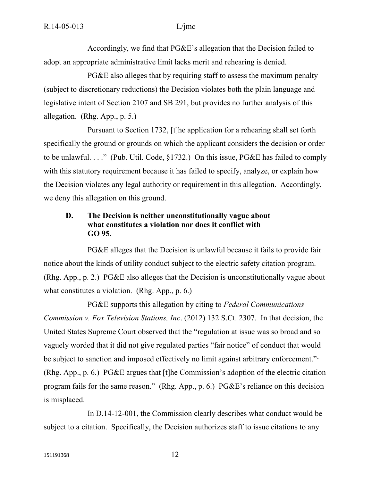Accordingly, we find that PG&E's allegation that the Decision failed to adopt an appropriate administrative limit lacks merit and rehearing is denied.

PG&E also alleges that by requiring staff to assess the maximum penalty (subject to discretionary reductions) the Decision violates both the plain language and legislative intent of Section 2107 and SB 291, but provides no further analysis of this allegation. (Rhg. App., p. 5.)

Pursuant to Section 1732, [t]he application for a rehearing shall set forth specifically the ground or grounds on which the applicant considers the decision or order to be unlawful. . . ." (Pub. Util. Code, §1732.) On this issue, PG&E has failed to comply with this statutory requirement because it has failed to specify, analyze, or explain how the Decision violates any legal authority or requirement in this allegation. Accordingly, we deny this allegation on this ground.

### **D. The Decision is neither unconstitutionally vague about what constitutes a violation nor does it conflict with GO 95.**

PG&E alleges that the Decision is unlawful because it fails to provide fair notice about the kinds of utility conduct subject to the electric safety citation program. (Rhg. App., p. 2.) PG&E also alleges that the Decision is unconstitutionally vague about what constitutes a violation. (Rhg. App., p. 6.)

PG&E supports this allegation by citing to *Federal Communications Commission v. Fox Television Stations, Inc*. (2012) 132 S.Ct. 2307. In that decision, the United States Supreme Court observed that the "regulation at issue was so broad and so vaguely worded that it did not give regulated parties "fair notice" of conduct that would be subject to sanction and imposed effectively no limit against arbitrary enforcement." (Rhg. App., p. 6.) PG&E argues that [t]he Commission's adoption of the electric citation program fails for the same reason." (Rhg. App., p. 6.) PG&E's reliance on this decision is misplaced.

In D.14-12-001, the Commission clearly describes what conduct would be subject to a citation. Specifically, the Decision authorizes staff to issue citations to any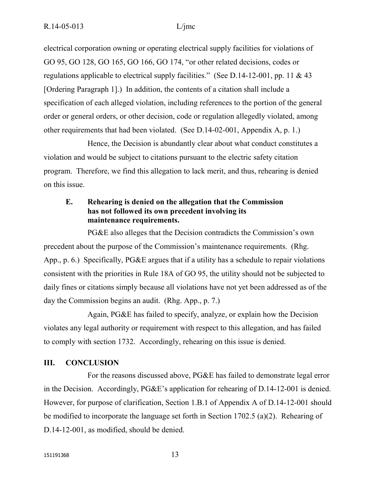electrical corporation owning or operating electrical supply facilities for violations of GO 95, GO 128, GO 165, GO 166, GO 174, "or other related decisions, codes or regulations applicable to electrical supply facilities." (See D.14-12-001, pp. 11  $\&$  43 [Ordering Paragraph 1].) In addition, the contents of a citation shall include a specification of each alleged violation, including references to the portion of the general order or general orders, or other decision, code or regulation allegedly violated, among other requirements that had been violated. (See D.14-02-001, Appendix A, p. 1.)

Hence, the Decision is abundantly clear about what conduct constitutes a violation and would be subject to citations pursuant to the electric safety citation program. Therefore, we find this allegation to lack merit, and thus, rehearing is denied on this issue.

## **E. Rehearing is denied on the allegation that the Commission has not followed its own precedent involving its maintenance requirements.**

PG&E also alleges that the Decision contradicts the Commission's own precedent about the purpose of the Commission's maintenance requirements. (Rhg. App., p. 6.) Specifically, PG&E argues that if a utility has a schedule to repair violations consistent with the priorities in Rule 18A of GO 95, the utility should not be subjected to daily fines or citations simply because all violations have not yet been addressed as of the day the Commission begins an audit. (Rhg. App., p. 7.)

Again, PG&E has failed to specify, analyze, or explain how the Decision violates any legal authority or requirement with respect to this allegation, and has failed to comply with section 1732. Accordingly, rehearing on this issue is denied.

### **III. CONCLUSION**

For the reasons discussed above, PG&E has failed to demonstrate legal error in the Decision. Accordingly, PG&E's application for rehearing of D.14-12-001 is denied. However, for purpose of clarification, Section 1.B.1 of Appendix A of D.14-12-001 should be modified to incorporate the language set forth in Section 1702.5 (a)(2). Rehearing of D.14-12-001, as modified, should be denied.